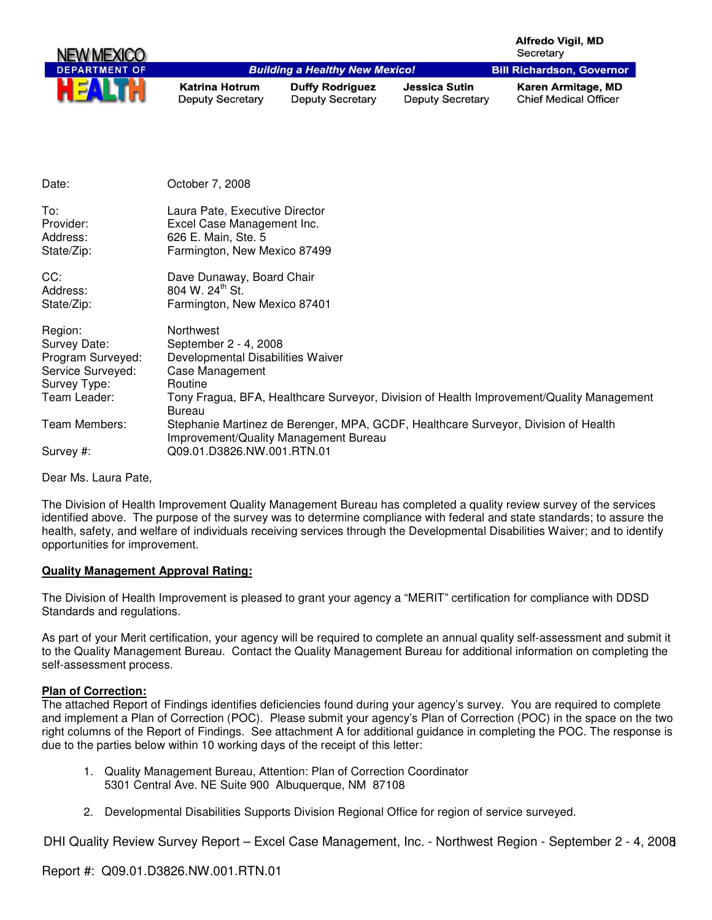|                                                                                                   |                                                                                                                               |                                                   |                                                 | <b>Alfredo Vigil, MD</b><br>Secretary                                                    |
|---------------------------------------------------------------------------------------------------|-------------------------------------------------------------------------------------------------------------------------------|---------------------------------------------------|-------------------------------------------------|------------------------------------------------------------------------------------------|
| <b>DEPARTMENT OF</b>                                                                              |                                                                                                                               | <b>Building a Healthy New Mexico!</b>             |                                                 | <b>Bill Richardson, Governor</b>                                                         |
| E                                                                                                 | <b>Katrina Hotrum</b><br><b>Deputy Secretary</b>                                                                              | <b>Duffy Rodriguez</b><br><b>Deputy Secretary</b> | <b>Jessica Sutin</b><br><b>Deputy Secretary</b> | Karen Armitage, MD<br><b>Chief Medical Officer</b>                                       |
| Date:                                                                                             | October 7, 2008                                                                                                               |                                                   |                                                 |                                                                                          |
| To:<br>Provider:<br>Address:<br>State/Zip:                                                        | Laura Pate, Executive Director<br>Excel Case Management Inc.<br>626 E. Main, Ste. 5<br>Farmington, New Mexico 87499           |                                                   |                                                 |                                                                                          |
| CC:<br>Address:<br>State/Zip:                                                                     | Dave Dunaway, Board Chair<br>804 W. 24 <sup>th</sup> St.<br>Farmington, New Mexico 87401                                      |                                                   |                                                 |                                                                                          |
| Region:<br>Survey Date:<br>Program Surveyed:<br>Service Surveyed:<br>Survey Type:<br>Team Leader: | Northwest<br>September 2 - 4, 2008<br>Developmental Disabilities Waiver<br><b>Case Management</b><br>Routine<br><b>Bureau</b> |                                                   |                                                 | Tony Fragua, BFA, Healthcare Surveyor, Division of Health Improvement/Quality Management |
| Team Members:<br>Survey #:                                                                        | Improvement/Quality Management Bureau<br>Q09.01.D3826.NW.001.RTN.01                                                           |                                                   |                                                 | Stephanie Martinez de Berenger, MPA, GCDF, Healthcare Surveyor, Division of Health       |

Dear Ms. Laura Pate,

The Division of Health Improvement Quality Management Bureau has completed a quality review survey of the services identified above. The purpose of the survey was to determine compliance with federal and state standards; to assure the health, safety, and welfare of individuals receiving services through the Developmental Disabilities Waiver; and to identify opportunities for improvement.

## **Quality Management Approval Rating:**

The Division of Health Improvement is pleased to grant your agency a "MERIT" certification for compliance with DDSD Standards and regulations.

As part of your Merit certification, your agency will be required to complete an annual quality self-assessment and submit it to the Quality Management Bureau. Contact the Quality Management Bureau for additional information on completing the self-assessment process.

## **Plan of Correction:**

The attached Report of Findings identifies deficiencies found during your agency's survey. You are required to complete and implement a Plan of Correction (POC). Please submit your agency's Plan of Correction (POC) in the space on the two right columns of the Report of Findings. See attachment A for additional guidance in completing the POC. The response is due to the parties below within 10 working days of the receipt of this letter:

- 1. Quality Management Bureau, Attention: Plan of Correction Coordinator 5301 Central Ave. NE Suite 900 Albuquerque, NM 87108
- 2. Developmental Disabilities Supports Division Regional Office for region of service surveyed.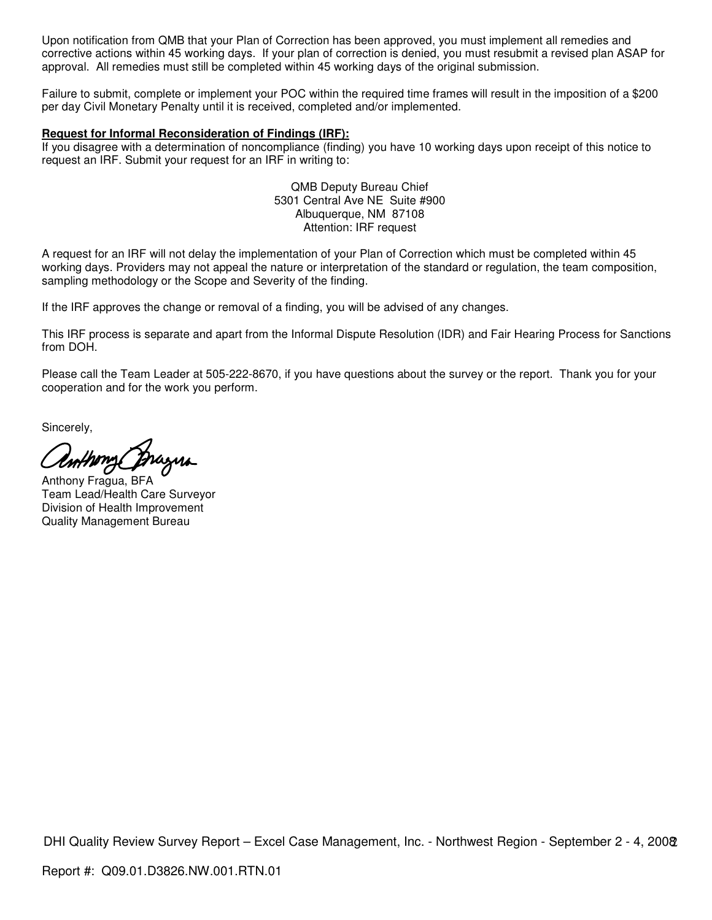Upon notification from QMB that your Plan of Correction has been approved, you must implement all remedies and corrective actions within 45 working days. If your plan of correction is denied, you must resubmit a revised plan ASAP for approval. All remedies must still be completed within 45 working days of the original submission.

Failure to submit, complete or implement your POC within the required time frames will result in the imposition of a \$200 per day Civil Monetary Penalty until it is received, completed and/or implemented.

#### **Request for Informal Reconsideration of Findings (IRF):**

If you disagree with a determination of noncompliance (finding) you have 10 working days upon receipt of this notice to request an IRF. Submit your request for an IRF in writing to:

> QMB Deputy Bureau Chief 5301 Central Ave NE Suite #900 Albuquerque, NM 87108 Attention: IRF request

A request for an IRF will not delay the implementation of your Plan of Correction which must be completed within 45 working days. Providers may not appeal the nature or interpretation of the standard or regulation, the team composition, sampling methodology or the Scope and Severity of the finding.

If the IRF approves the change or removal of a finding, you will be advised of any changes.

This IRF process is separate and apart from the Informal Dispute Resolution (IDR) and Fair Hearing Process for Sanctions from DOH.

Please call the Team Leader at 505-222-8670, if you have questions about the survey or the report. Thank you for your cooperation and for the work you perform.

Sincerely,

nthony

Anthony Fragua, BFA Team Lead/Health Care Surveyor Division of Health Improvement Quality Management Bureau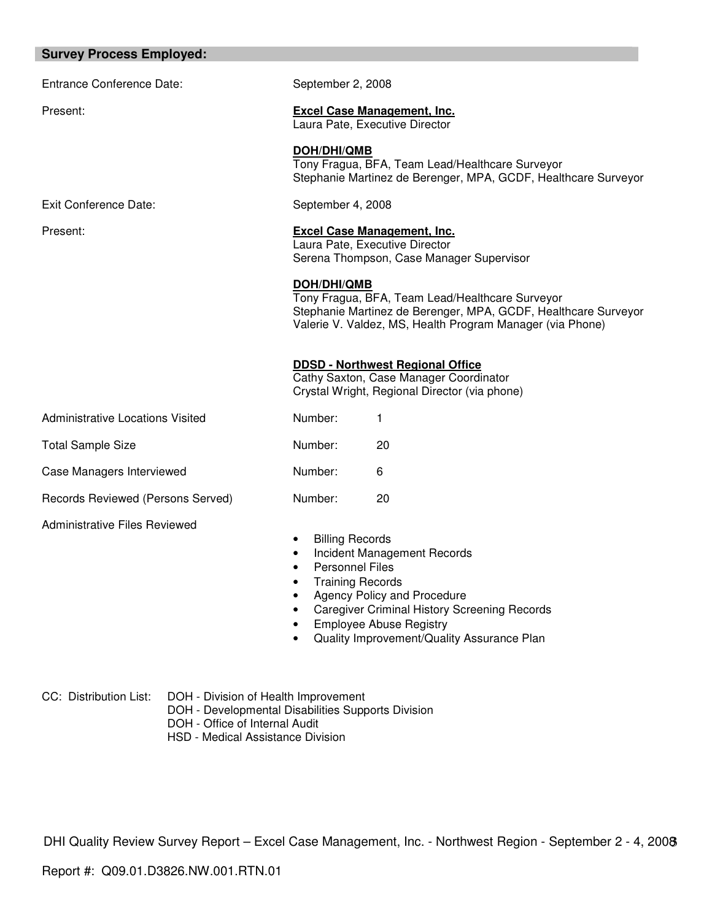#### **Survey Process Employed:**

Entrance Conference Date: September 2, 2008

Exit Conference Date: September 4, 2008

Present: **Excel Case Management, Inc.**

Laura Pate, Executive Director

**DOH/DHI/QMB** 

Tony Fragua, BFA, Team Lead/Healthcare Surveyor Stephanie Martinez de Berenger, MPA, GCDF, Healthcare Surveyor

Present: **Excel Case Management, Inc.** Laura Pate, Executive Director Serena Thompson, Case Manager Supervisor

**DOH/DHI/QMB** 

Tony Fragua, BFA, Team Lead/Healthcare Surveyor Stephanie Martinez de Berenger, MPA, GCDF, Healthcare Surveyor Valerie V. Valdez, MS, Health Program Manager (via Phone)

**DDSD - Northwest Regional Office**

Cathy Saxton, Case Manager Coordinator Crystal Wright, Regional Director (via phone)

Administrative Locations Visited Number: 1 Total Sample Size **Number:** 20 Case Managers Interviewed Mumber: 6

Records Reviewed (Persons Served) Number: 20

Administrative Files Reviewed

**Billing Records** 

- Incident Management Records
- Personnel Files
- Training Records
- Agency Policy and Procedure
- Caregiver Criminal History Screening Records
- Employee Abuse Registry
- Quality Improvement/Quality Assurance Plan

- CC: Distribution List: DOH Division of Health Improvement
	- DOH Developmental Disabilities Supports Division
	- DOH Office of Internal Audit
	- HSD Medical Assistance Division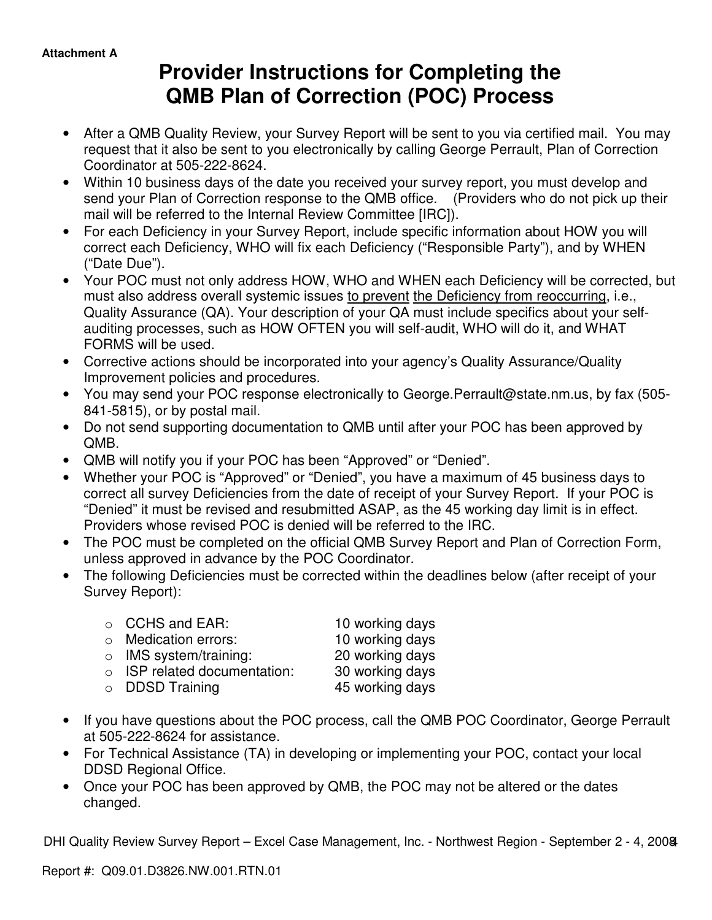# **Provider Instructions for Completing the QMB Plan of Correction (POC) Process**

- After a QMB Quality Review, your Survey Report will be sent to you via certified mail. You may request that it also be sent to you electronically by calling George Perrault, Plan of Correction Coordinator at 505-222-8624.
- Within 10 business days of the date you received your survey report, you must develop and send your Plan of Correction response to the QMB office. (Providers who do not pick up their mail will be referred to the Internal Review Committee [IRC]).
- For each Deficiency in your Survey Report, include specific information about HOW you will correct each Deficiency, WHO will fix each Deficiency ("Responsible Party"), and by WHEN ("Date Due").
- Your POC must not only address HOW, WHO and WHEN each Deficiency will be corrected, but must also address overall systemic issues to prevent the Deficiency from reoccurring, i.e., Quality Assurance (QA). Your description of your QA must include specifics about your selfauditing processes, such as HOW OFTEN you will self-audit, WHO will do it, and WHAT FORMS will be used.
- Corrective actions should be incorporated into your agency's Quality Assurance/Quality Improvement policies and procedures.
- You may send your POC response electronically to George.Perrault@state.nm.us, by fax (505- 841-5815), or by postal mail.
- Do not send supporting documentation to QMB until after your POC has been approved by QMB.
- QMB will notify you if your POC has been "Approved" or "Denied".
- Whether your POC is "Approved" or "Denied", you have a maximum of 45 business days to correct all survey Deficiencies from the date of receipt of your Survey Report. If your POC is "Denied" it must be revised and resubmitted ASAP, as the 45 working day limit is in effect. Providers whose revised POC is denied will be referred to the IRC.
- The POC must be completed on the official QMB Survey Report and Plan of Correction Form, unless approved in advance by the POC Coordinator.
- The following Deficiencies must be corrected within the deadlines below (after receipt of your Survey Report):

| $\circ$ CCHS and EAR:              | 10 working days |
|------------------------------------|-----------------|
| $\circ$ Medication errors:         | 10 working days |
| $\circ$ IMS system/training:       | 20 working days |
| $\circ$ ISP related documentation: | 30 working days |
| $\circ$ DDSD Training              | 45 working days |

- If you have questions about the POC process, call the QMB POC Coordinator, George Perrault at 505-222-8624 for assistance.
- For Technical Assistance (TA) in developing or implementing your POC, contact your local DDSD Regional Office.
- Once your POC has been approved by QMB, the POC may not be altered or the dates changed.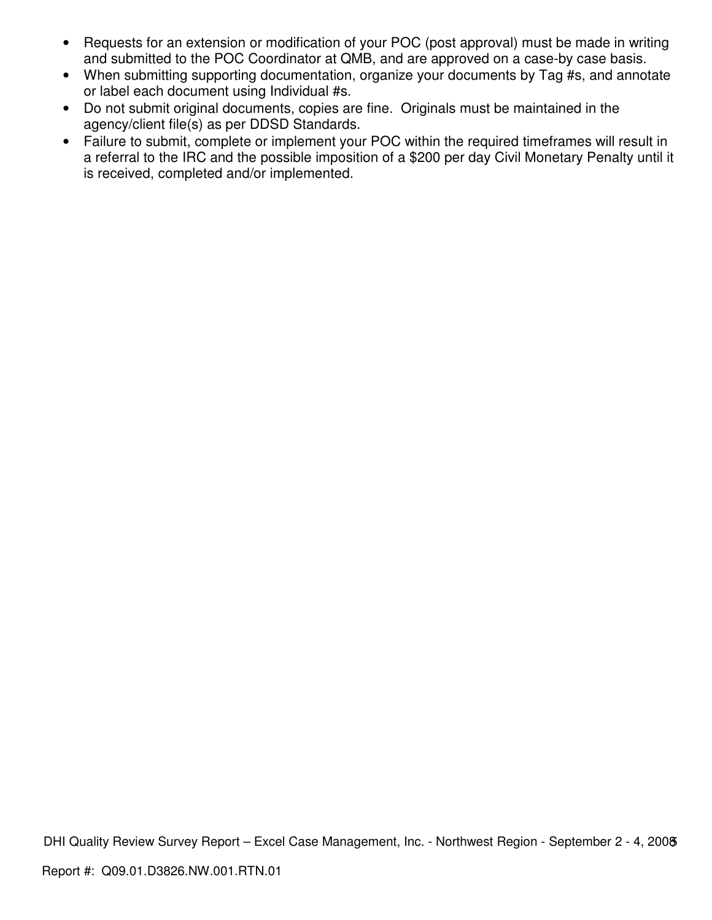- Requests for an extension or modification of your POC (post approval) must be made in writing and submitted to the POC Coordinator at QMB, and are approved on a case-by case basis.
- When submitting supporting documentation, organize your documents by Tag #s, and annotate or label each document using Individual #s.
- Do not submit original documents, copies are fine. Originals must be maintained in the agency/client file(s) as per DDSD Standards.
- Failure to submit, complete or implement your POC within the required timeframes will result in a referral to the IRC and the possible imposition of a \$200 per day Civil Monetary Penalty until it is received, completed and/or implemented.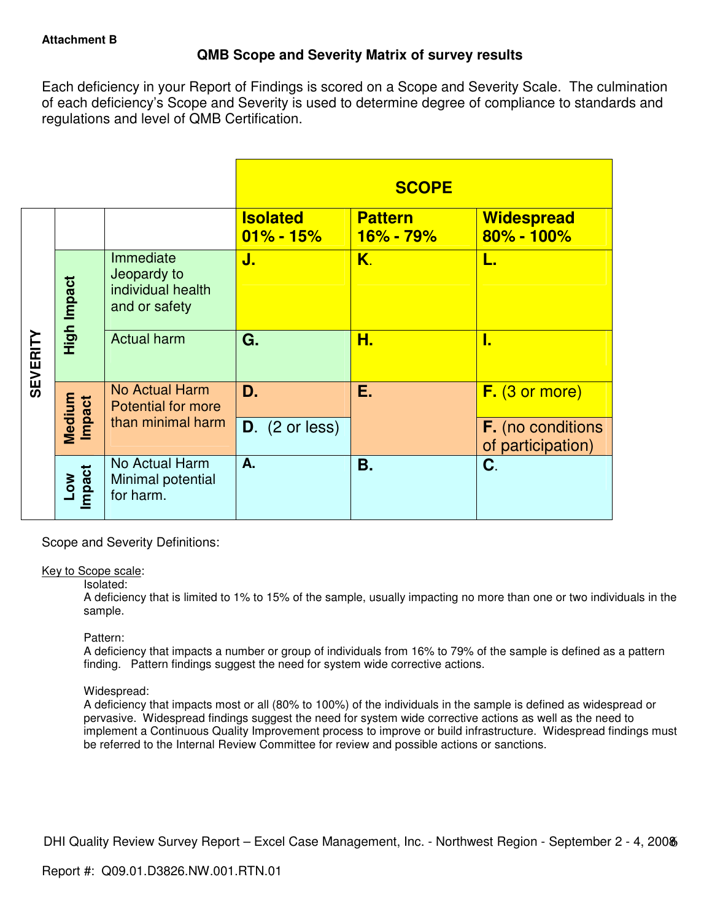## **QMB Scope and Severity Matrix of survey results**

Each deficiency in your Report of Findings is scored on a Scope and Severity Scale. The culmination of each deficiency's Scope and Severity is used to determine degree of compliance to standards and regulations and level of QMB Certification.

|                 |                      |                                                                |                                  | <b>SCOPE</b>                    |                                               |
|-----------------|----------------------|----------------------------------------------------------------|----------------------------------|---------------------------------|-----------------------------------------------|
|                 |                      |                                                                | <b>Isolated</b><br>$01\% - 15\%$ | <b>Pattern</b><br>$16\% - 79\%$ | <b>Widespread</b><br>$80\% - 100\%$           |
| <b>SEVERITY</b> | High Impact          | Immediate<br>Jeopardy to<br>individual health<br>and or safety | J.                               | Κ.                              | L.                                            |
|                 |                      | <b>Actual harm</b>                                             | G.                               | H.                              | ι.                                            |
|                 | <b>Impact</b>        | No Actual Harm<br><b>Potential for more</b>                    | D.                               | Е.                              | $F.$ (3 or more)                              |
|                 | Medium               | than minimal harm                                              | $D.$ (2 or less)                 |                                 | <b>F.</b> (no conditions<br>of participation) |
|                 | <b>Impact</b><br>Low | No Actual Harm<br>Minimal potential<br>for harm.               | A.                               | <b>B.</b>                       | C.                                            |

Scope and Severity Definitions:

## Key to Scope scale:

#### Isolated:

A deficiency that is limited to 1% to 15% of the sample, usually impacting no more than one or two individuals in the sample.

## Pattern:

A deficiency that impacts a number or group of individuals from 16% to 79% of the sample is defined as a pattern finding. Pattern findings suggest the need for system wide corrective actions.

## Widespread:

A deficiency that impacts most or all (80% to 100%) of the individuals in the sample is defined as widespread or pervasive. Widespread findings suggest the need for system wide corrective actions as well as the need to implement a Continuous Quality Improvement process to improve or build infrastructure. Widespread findings must be referred to the Internal Review Committee for review and possible actions or sanctions.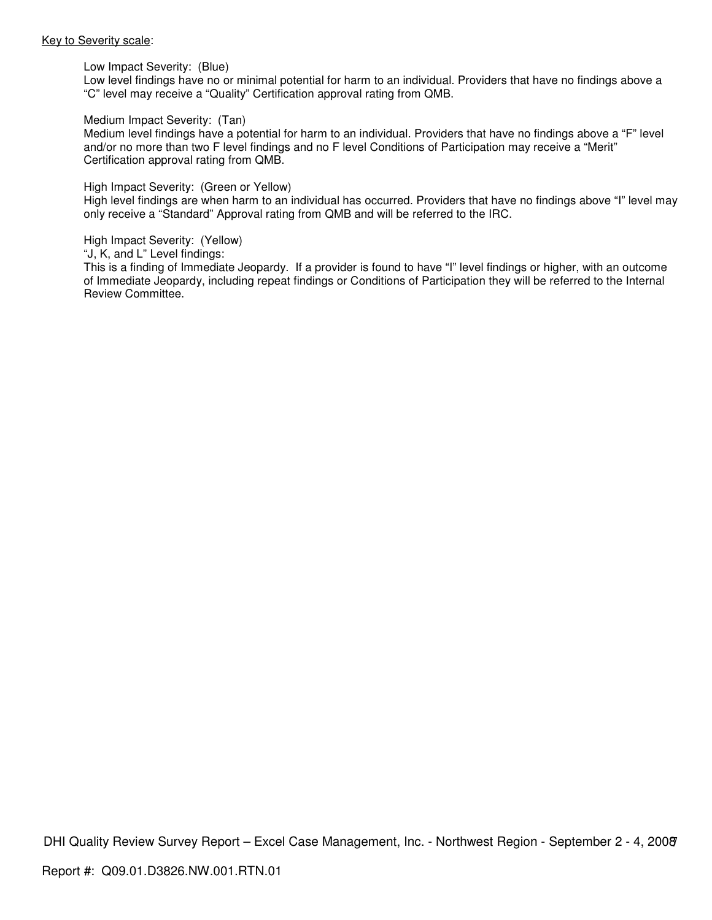#### Key to Severity scale:

Low Impact Severity: (Blue)

Low level findings have no or minimal potential for harm to an individual. Providers that have no findings above a "C" level may receive a "Quality" Certification approval rating from QMB.

#### Medium Impact Severity: (Tan)

Medium level findings have a potential for harm to an individual. Providers that have no findings above a "F" level and/or no more than two F level findings and no F level Conditions of Participation may receive a "Merit" Certification approval rating from QMB.

#### High Impact Severity: (Green or Yellow)

High level findings are when harm to an individual has occurred. Providers that have no findings above "I" level may only receive a "Standard" Approval rating from QMB and will be referred to the IRC.

#### High Impact Severity: (Yellow)

"J, K, and L" Level findings:

This is a finding of Immediate Jeopardy. If a provider is found to have "I" level findings or higher, with an outcome of Immediate Jeopardy, including repeat findings or Conditions of Participation they will be referred to the Internal Review Committee.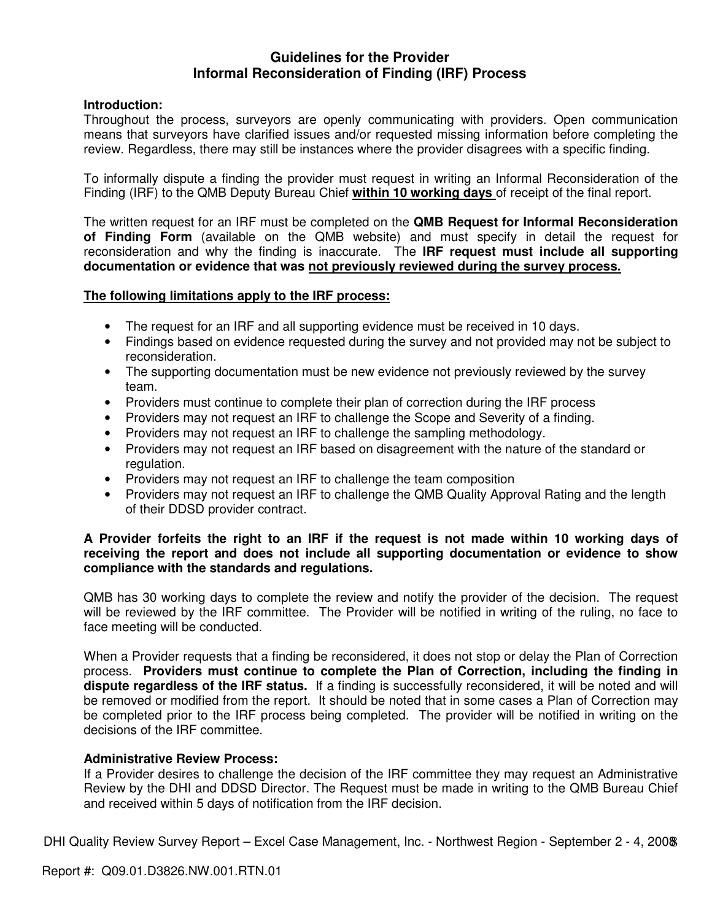## **Guidelines for the Provider Informal Reconsideration of Finding (IRF) Process**

## **Introduction:**

Throughout the process, surveyors are openly communicating with providers. Open communication means that surveyors have clarified issues and/or requested missing information before completing the review. Regardless, there may still be instances where the provider disagrees with a specific finding.

To informally dispute a finding the provider must request in writing an Informal Reconsideration of the Finding (IRF) to the QMB Deputy Bureau Chief **within 10 working days** of receipt of the final report.

The written request for an IRF must be completed on the **QMB Request for Informal Reconsideration of Finding Form** (available on the QMB website) and must specify in detail the request for reconsideration and why the finding is inaccurate. The **IRF request must include all supporting documentation or evidence that was not previously reviewed during the survey process.** 

## **The following limitations apply to the IRF process:**

- The request for an IRF and all supporting evidence must be received in 10 days.
- Findings based on evidence requested during the survey and not provided may not be subject to reconsideration.
- The supporting documentation must be new evidence not previously reviewed by the survey team.
- Providers must continue to complete their plan of correction during the IRF process
- Providers may not request an IRF to challenge the Scope and Severity of a finding.
- Providers may not request an IRF to challenge the sampling methodology.
- Providers may not request an IRF based on disagreement with the nature of the standard or regulation.
- Providers may not request an IRF to challenge the team composition
- Providers may not request an IRF to challenge the QMB Quality Approval Rating and the length of their DDSD provider contract.

## **A Provider forfeits the right to an IRF if the request is not made within 10 working days of receiving the report and does not include all supporting documentation or evidence to show compliance with the standards and regulations.**

QMB has 30 working days to complete the review and notify the provider of the decision. The request will be reviewed by the IRF committee. The Provider will be notified in writing of the ruling, no face to face meeting will be conducted.

When a Provider requests that a finding be reconsidered, it does not stop or delay the Plan of Correction process. **Providers must continue to complete the Plan of Correction, including the finding in dispute regardless of the IRF status.** If a finding is successfully reconsidered, it will be noted and will be removed or modified from the report. It should be noted that in some cases a Plan of Correction may be completed prior to the IRF process being completed. The provider will be notified in writing on the decisions of the IRF committee.

## **Administrative Review Process:**

If a Provider desires to challenge the decision of the IRF committee they may request an Administrative Review by the DHI and DDSD Director. The Request must be made in writing to the QMB Bureau Chief and received within 5 days of notification from the IRF decision.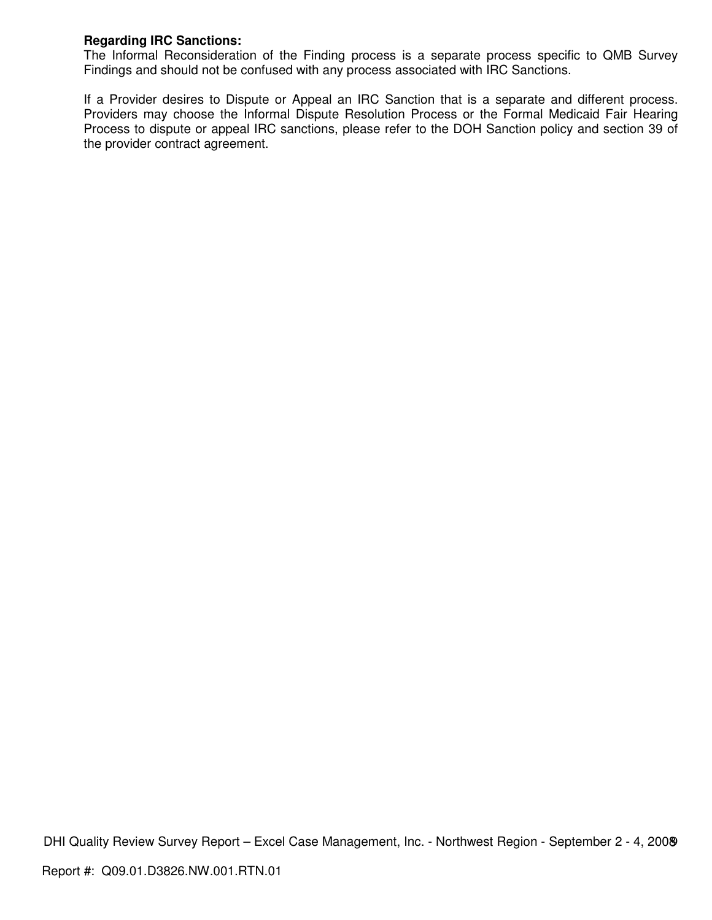## **Regarding IRC Sanctions:**

The Informal Reconsideration of the Finding process is a separate process specific to QMB Survey Findings and should not be confused with any process associated with IRC Sanctions.

If a Provider desires to Dispute or Appeal an IRC Sanction that is a separate and different process. Providers may choose the Informal Dispute Resolution Process or the Formal Medicaid Fair Hearing Process to dispute or appeal IRC sanctions, please refer to the DOH Sanction policy and section 39 of the provider contract agreement.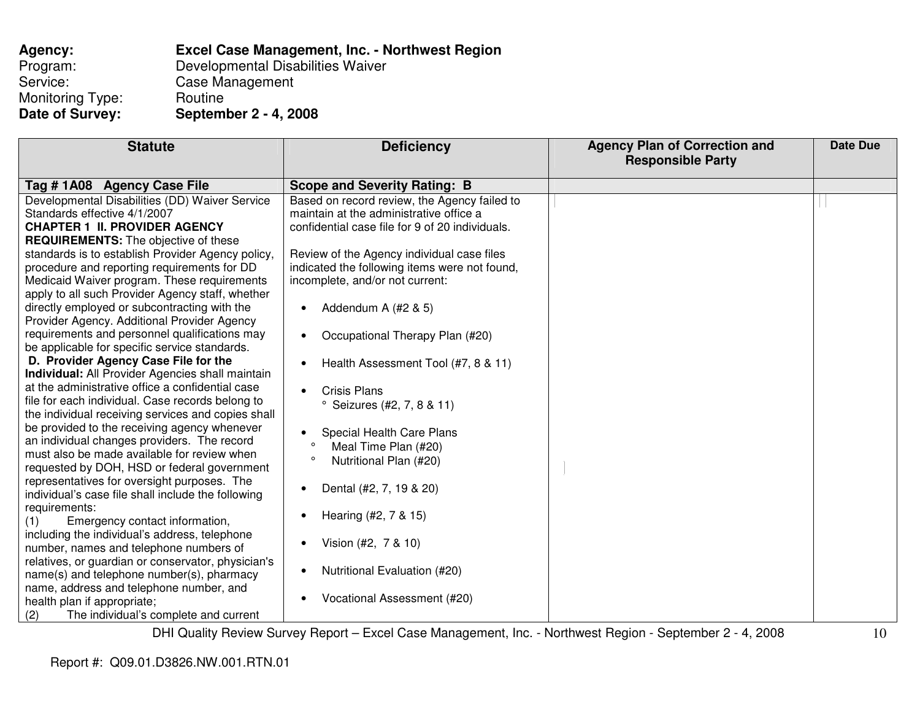| Agency:          | Excel Case Management, Inc. - Northwest Region |
|------------------|------------------------------------------------|
| Program:         | Developmental Disabilities Waiver              |
| Service:         | Case Management                                |
| Monitoring Type: | Routine                                        |
| Date of Survey:  | September 2 - 4, 2008                          |

| <b>Statute</b>                                                                                                                                                                                                                                                                                                                                                                                                                                                                                                                                                                                                                                                                                                                                                                                                                                                                                                                                                                                                                                                                                                                                                                                                                                                                                                                                                                                                                                                                     | <b>Deficiency</b>                                                                                                                                                                                                                                                                                                                                                                                                                                                                                                                                                                                                                                                                                       | <b>Agency Plan of Correction and</b><br><b>Responsible Party</b> | Date Due |
|------------------------------------------------------------------------------------------------------------------------------------------------------------------------------------------------------------------------------------------------------------------------------------------------------------------------------------------------------------------------------------------------------------------------------------------------------------------------------------------------------------------------------------------------------------------------------------------------------------------------------------------------------------------------------------------------------------------------------------------------------------------------------------------------------------------------------------------------------------------------------------------------------------------------------------------------------------------------------------------------------------------------------------------------------------------------------------------------------------------------------------------------------------------------------------------------------------------------------------------------------------------------------------------------------------------------------------------------------------------------------------------------------------------------------------------------------------------------------------|---------------------------------------------------------------------------------------------------------------------------------------------------------------------------------------------------------------------------------------------------------------------------------------------------------------------------------------------------------------------------------------------------------------------------------------------------------------------------------------------------------------------------------------------------------------------------------------------------------------------------------------------------------------------------------------------------------|------------------------------------------------------------------|----------|
| Tag #1A08 Agency Case File                                                                                                                                                                                                                                                                                                                                                                                                                                                                                                                                                                                                                                                                                                                                                                                                                                                                                                                                                                                                                                                                                                                                                                                                                                                                                                                                                                                                                                                         | <b>Scope and Severity Rating: B</b>                                                                                                                                                                                                                                                                                                                                                                                                                                                                                                                                                                                                                                                                     |                                                                  |          |
| Developmental Disabilities (DD) Waiver Service<br>Standards effective 4/1/2007<br><b>CHAPTER 1 II. PROVIDER AGENCY</b><br><b>REQUIREMENTS:</b> The objective of these<br>standards is to establish Provider Agency policy,<br>procedure and reporting requirements for DD<br>Medicaid Waiver program. These requirements<br>apply to all such Provider Agency staff, whether<br>directly employed or subcontracting with the<br>Provider Agency. Additional Provider Agency<br>requirements and personnel qualifications may<br>be applicable for specific service standards.<br>D. Provider Agency Case File for the<br><b>Individual:</b> All Provider Agencies shall maintain<br>at the administrative office a confidential case<br>file for each individual. Case records belong to<br>the individual receiving services and copies shall<br>be provided to the receiving agency whenever<br>an individual changes providers. The record<br>must also be made available for review when<br>requested by DOH, HSD or federal government<br>representatives for oversight purposes. The<br>individual's case file shall include the following<br>requirements:<br>Emergency contact information,<br>(1)<br>including the individual's address, telephone<br>number, names and telephone numbers of<br>relatives, or guardian or conservator, physician's<br>name(s) and telephone number(s), pharmacy<br>name, address and telephone number, and<br>health plan if appropriate; | Based on record review, the Agency failed to<br>maintain at the administrative office a<br>confidential case file for 9 of 20 individuals.<br>Review of the Agency individual case files<br>indicated the following items were not found,<br>incomplete, and/or not current:<br>Addendum A (#2 & 5)<br>Occupational Therapy Plan (#20)<br>Health Assessment Tool (#7, 8 & 11)<br>٠<br><b>Crisis Plans</b><br><sup>o</sup> Seizures (#2, 7, 8 & 11)<br>Special Health Care Plans<br>Meal Time Plan (#20)<br>$\circ$<br>Nutritional Plan (#20)<br>Dental (#2, 7, 19 & 20)<br>Hearing (#2, 7 & 15)<br>٠<br>Vision (#2, 7 & 10)<br>Nutritional Evaluation (#20)<br>$\bullet$<br>Vocational Assessment (#20) |                                                                  |          |
| The individual's complete and current<br>(2)                                                                                                                                                                                                                                                                                                                                                                                                                                                                                                                                                                                                                                                                                                                                                                                                                                                                                                                                                                                                                                                                                                                                                                                                                                                                                                                                                                                                                                       |                                                                                                                                                                                                                                                                                                                                                                                                                                                                                                                                                                                                                                                                                                         |                                                                  |          |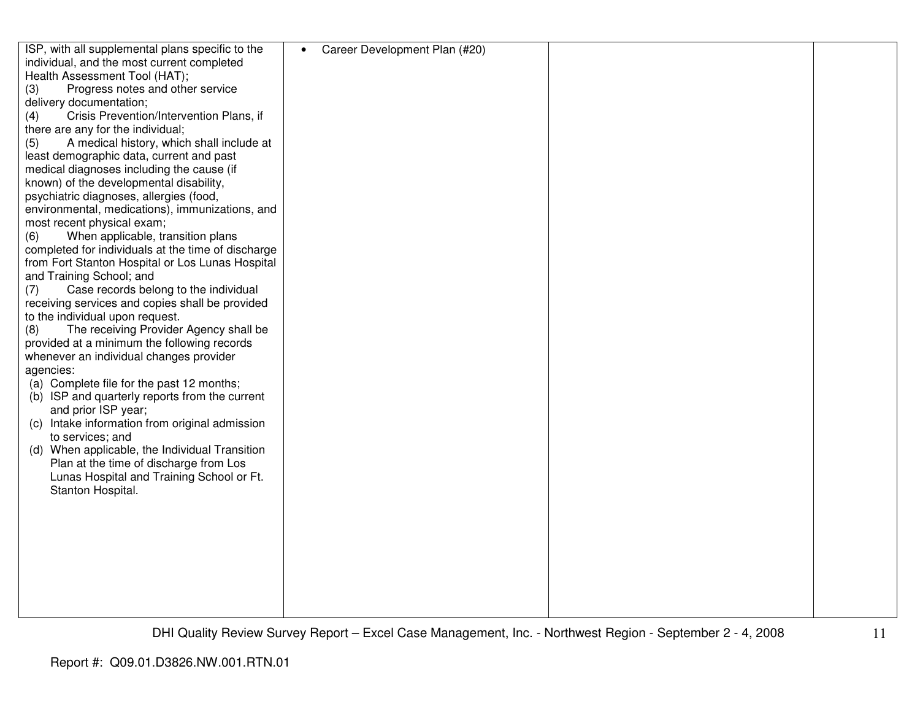| ISP, with all supplemental plans specific to the                      | Career Development Plan (#20)<br>$\bullet$ |  |
|-----------------------------------------------------------------------|--------------------------------------------|--|
| individual, and the most current completed                            |                                            |  |
| Health Assessment Tool (HAT);                                         |                                            |  |
| Progress notes and other service<br>(3)                               |                                            |  |
| delivery documentation;                                               |                                            |  |
| Crisis Prevention/Intervention Plans, if<br>(4)                       |                                            |  |
| there are any for the individual;                                     |                                            |  |
| A medical history, which shall include at<br>(5)                      |                                            |  |
| least demographic data, current and past                              |                                            |  |
| medical diagnoses including the cause (if                             |                                            |  |
| known) of the developmental disability,                               |                                            |  |
| psychiatric diagnoses, allergies (food,                               |                                            |  |
| environmental, medications), immunizations, and                       |                                            |  |
| most recent physical exam;                                            |                                            |  |
| When applicable, transition plans<br>(6)                              |                                            |  |
| completed for individuals at the time of discharge                    |                                            |  |
| from Fort Stanton Hospital or Los Lunas Hospital                      |                                            |  |
| and Training School; and                                              |                                            |  |
| Case records belong to the individual<br>(7)                          |                                            |  |
| receiving services and copies shall be provided                       |                                            |  |
| to the individual upon request.                                       |                                            |  |
| The receiving Provider Agency shall be<br>(8)                         |                                            |  |
| provided at a minimum the following records                           |                                            |  |
|                                                                       |                                            |  |
| whenever an individual changes provider                               |                                            |  |
| agencies:                                                             |                                            |  |
| (a) Complete file for the past 12 months;                             |                                            |  |
| (b) ISP and quarterly reports from the current<br>and prior ISP year; |                                            |  |
| (c) Intake information from original admission                        |                                            |  |
|                                                                       |                                            |  |
| to services; and                                                      |                                            |  |
| (d) When applicable, the Individual Transition                        |                                            |  |
| Plan at the time of discharge from Los                                |                                            |  |
| Lunas Hospital and Training School or Ft.                             |                                            |  |
| Stanton Hospital.                                                     |                                            |  |
|                                                                       |                                            |  |
|                                                                       |                                            |  |
|                                                                       |                                            |  |
|                                                                       |                                            |  |
|                                                                       |                                            |  |
|                                                                       |                                            |  |
|                                                                       |                                            |  |
|                                                                       |                                            |  |
|                                                                       |                                            |  |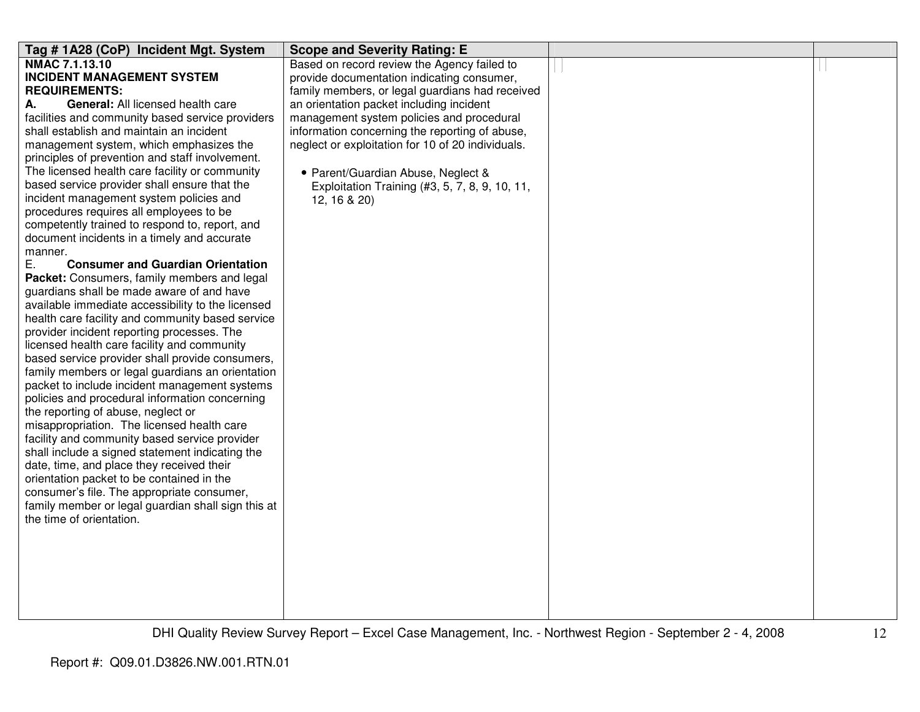| Tag #1A28 (CoP) Incident Mgt. System                      | <b>Scope and Severity Rating: E</b>               |  |
|-----------------------------------------------------------|---------------------------------------------------|--|
| <b>NMAC 7.1.13.10</b>                                     | Based on record review the Agency failed to       |  |
| <b>INCIDENT MANAGEMENT SYSTEM</b>                         | provide documentation indicating consumer,        |  |
| <b>REQUIREMENTS:</b>                                      | family members, or legal guardians had received   |  |
| <b>General: All licensed health care</b><br>А.            | an orientation packet including incident          |  |
| facilities and community based service providers          | management system policies and procedural         |  |
| shall establish and maintain an incident                  | information concerning the reporting of abuse,    |  |
| management system, which emphasizes the                   | neglect or exploitation for 10 of 20 individuals. |  |
| principles of prevention and staff involvement.           |                                                   |  |
| The licensed health care facility or community            | • Parent/Guardian Abuse, Neglect &                |  |
| based service provider shall ensure that the              | Exploitation Training (#3, 5, 7, 8, 9, 10, 11,    |  |
| incident management system policies and                   | 12, 16 & 20)                                      |  |
| procedures requires all employees to be                   |                                                   |  |
| competently trained to respond to, report, and            |                                                   |  |
| document incidents in a timely and accurate               |                                                   |  |
| manner.<br>Е.<br><b>Consumer and Guardian Orientation</b> |                                                   |  |
| Packet: Consumers, family members and legal               |                                                   |  |
| guardians shall be made aware of and have                 |                                                   |  |
| available immediate accessibility to the licensed         |                                                   |  |
| health care facility and community based service          |                                                   |  |
| provider incident reporting processes. The                |                                                   |  |
| licensed health care facility and community               |                                                   |  |
| based service provider shall provide consumers,           |                                                   |  |
| family members or legal guardians an orientation          |                                                   |  |
| packet to include incident management systems             |                                                   |  |
| policies and procedural information concerning            |                                                   |  |
| the reporting of abuse, neglect or                        |                                                   |  |
| misappropriation. The licensed health care                |                                                   |  |
| facility and community based service provider             |                                                   |  |
| shall include a signed statement indicating the           |                                                   |  |
| date, time, and place they received their                 |                                                   |  |
| orientation packet to be contained in the                 |                                                   |  |
| consumer's file. The appropriate consumer,                |                                                   |  |
| family member or legal guardian shall sign this at        |                                                   |  |
| the time of orientation.                                  |                                                   |  |
|                                                           |                                                   |  |
|                                                           |                                                   |  |
|                                                           |                                                   |  |
|                                                           |                                                   |  |
|                                                           |                                                   |  |
|                                                           |                                                   |  |
|                                                           |                                                   |  |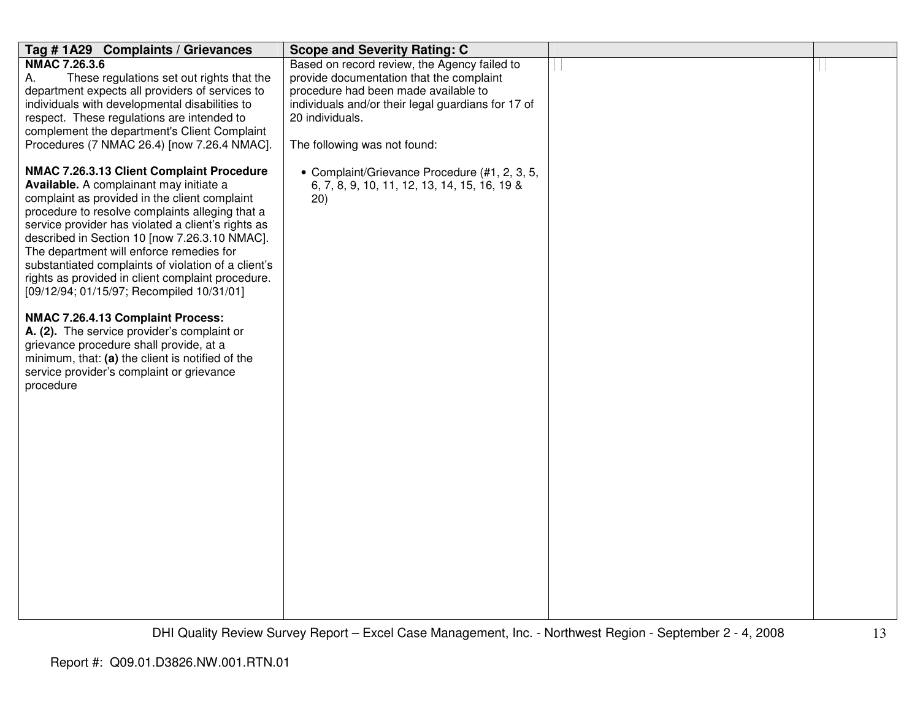| Tag #1A29 Complaints / Grievances                                                                                                                                                                                                                                                                                                                                                                                                                                                                    | <b>Scope and Severity Rating: C</b>                                                                                                                                                                                                       |  |
|------------------------------------------------------------------------------------------------------------------------------------------------------------------------------------------------------------------------------------------------------------------------------------------------------------------------------------------------------------------------------------------------------------------------------------------------------------------------------------------------------|-------------------------------------------------------------------------------------------------------------------------------------------------------------------------------------------------------------------------------------------|--|
| <b>NMAC 7.26.3.6</b><br>А.<br>These regulations set out rights that the<br>department expects all providers of services to<br>individuals with developmental disabilities to<br>respect. These regulations are intended to<br>complement the department's Client Complaint<br>Procedures (7 NMAC 26.4) [now 7.26.4 NMAC].                                                                                                                                                                            | Based on record review, the Agency failed to<br>provide documentation that the complaint<br>procedure had been made available to<br>individuals and/or their legal guardians for 17 of<br>20 individuals.<br>The following was not found: |  |
| NMAC 7.26.3.13 Client Complaint Procedure<br>Available. A complainant may initiate a<br>complaint as provided in the client complaint<br>procedure to resolve complaints alleging that a<br>service provider has violated a client's rights as<br>described in Section 10 [now 7.26.3.10 NMAC].<br>The department will enforce remedies for<br>substantiated complaints of violation of a client's<br>rights as provided in client complaint procedure.<br>[09/12/94; 01/15/97; Recompiled 10/31/01] | • Complaint/Grievance Procedure (#1, 2, 3, 5,<br>6, 7, 8, 9, 10, 11, 12, 13, 14, 15, 16, 19 &<br>(20)                                                                                                                                     |  |
| NMAC 7.26.4.13 Complaint Process:<br>A. (2). The service provider's complaint or<br>grievance procedure shall provide, at a<br>minimum, that: (a) the client is notified of the<br>service provider's complaint or grievance<br>procedure                                                                                                                                                                                                                                                            |                                                                                                                                                                                                                                           |  |
|                                                                                                                                                                                                                                                                                                                                                                                                                                                                                                      |                                                                                                                                                                                                                                           |  |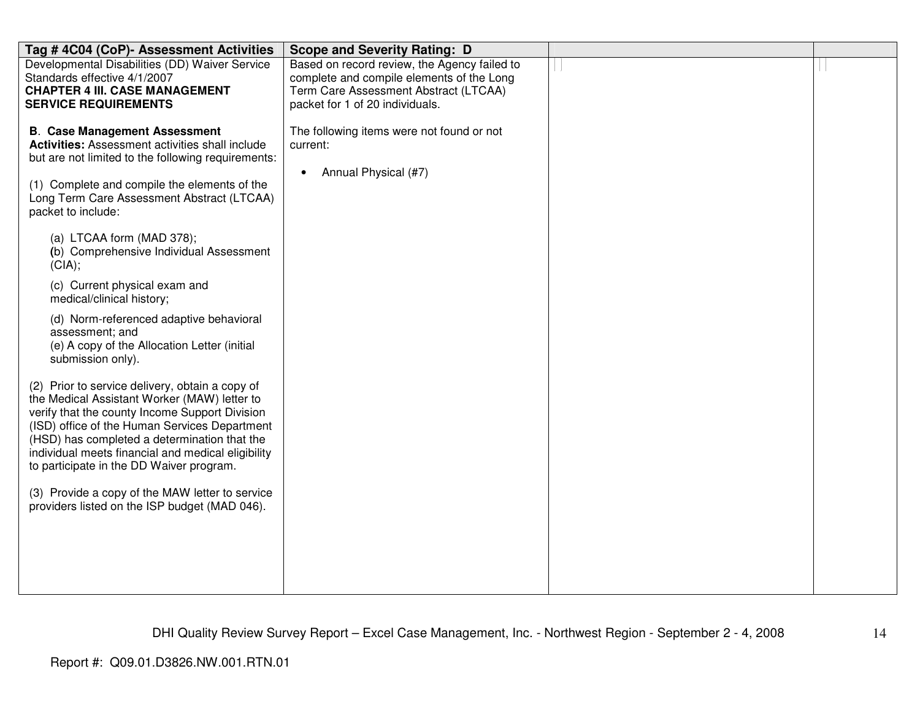| Tag # 4C04 (CoP)- Assessment Activities                                                          | <b>Scope and Severity Rating: D</b>                                      |  |
|--------------------------------------------------------------------------------------------------|--------------------------------------------------------------------------|--|
| Developmental Disabilities (DD) Waiver Service                                                   | Based on record review, the Agency failed to                             |  |
| Standards effective 4/1/2007<br><b>CHAPTER 4 III. CASE MANAGEMENT</b>                            | complete and compile elements of the Long                                |  |
| <b>SERVICE REQUIREMENTS</b>                                                                      | Term Care Assessment Abstract (LTCAA)<br>packet for 1 of 20 individuals. |  |
|                                                                                                  |                                                                          |  |
| <b>B. Case Management Assessment</b>                                                             | The following items were not found or not                                |  |
| <b>Activities:</b> Assessment activities shall include                                           | current:                                                                 |  |
| but are not limited to the following requirements:                                               | Annual Physical (#7)                                                     |  |
| (1) Complete and compile the elements of the                                                     | $\bullet$                                                                |  |
| Long Term Care Assessment Abstract (LTCAA)                                                       |                                                                          |  |
| packet to include:                                                                               |                                                                          |  |
|                                                                                                  |                                                                          |  |
| (a) LTCAA form (MAD 378);<br>(b) Comprehensive Individual Assessment                             |                                                                          |  |
| (CIA);                                                                                           |                                                                          |  |
| (c) Current physical exam and                                                                    |                                                                          |  |
| medical/clinical history;                                                                        |                                                                          |  |
| (d) Norm-referenced adaptive behavioral                                                          |                                                                          |  |
| assessment; and                                                                                  |                                                                          |  |
| (e) A copy of the Allocation Letter (initial                                                     |                                                                          |  |
| submission only).                                                                                |                                                                          |  |
| (2) Prior to service delivery, obtain a copy of                                                  |                                                                          |  |
| the Medical Assistant Worker (MAW) letter to                                                     |                                                                          |  |
| verify that the county Income Support Division                                                   |                                                                          |  |
| (ISD) office of the Human Services Department<br>(HSD) has completed a determination that the    |                                                                          |  |
| individual meets financial and medical eligibility                                               |                                                                          |  |
| to participate in the DD Waiver program.                                                         |                                                                          |  |
|                                                                                                  |                                                                          |  |
| (3) Provide a copy of the MAW letter to service<br>providers listed on the ISP budget (MAD 046). |                                                                          |  |
|                                                                                                  |                                                                          |  |
|                                                                                                  |                                                                          |  |
|                                                                                                  |                                                                          |  |
|                                                                                                  |                                                                          |  |
|                                                                                                  |                                                                          |  |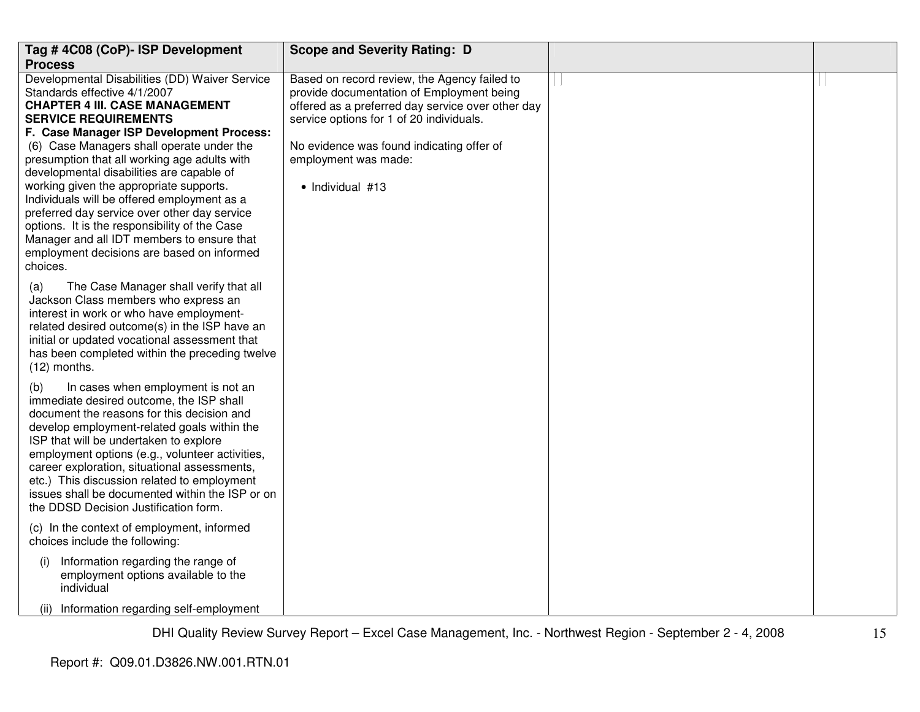| Tag #4C08 (CoP)- ISP Development                                                            | <b>Scope and Severity Rating: D</b>                                                           |  |
|---------------------------------------------------------------------------------------------|-----------------------------------------------------------------------------------------------|--|
| <b>Process</b>                                                                              |                                                                                               |  |
| Developmental Disabilities (DD) Waiver Service                                              | Based on record review, the Agency failed to                                                  |  |
| Standards effective 4/1/2007                                                                | provide documentation of Employment being                                                     |  |
| <b>CHAPTER 4 III. CASE MANAGEMENT</b><br><b>SERVICE REQUIREMENTS</b>                        | offered as a preferred day service over other day<br>service options for 1 of 20 individuals. |  |
| F. Case Manager ISP Development Process:                                                    |                                                                                               |  |
| (6) Case Managers shall operate under the                                                   | No evidence was found indicating offer of                                                     |  |
| presumption that all working age adults with                                                | employment was made:                                                                          |  |
| developmental disabilities are capable of                                                   |                                                                                               |  |
| working given the appropriate supports.                                                     | • Individual #13                                                                              |  |
| Individuals will be offered employment as a                                                 |                                                                                               |  |
| preferred day service over other day service                                                |                                                                                               |  |
| options. It is the responsibility of the Case                                               |                                                                                               |  |
| Manager and all IDT members to ensure that                                                  |                                                                                               |  |
| employment decisions are based on informed                                                  |                                                                                               |  |
| choices.                                                                                    |                                                                                               |  |
| The Case Manager shall verify that all<br>(a)                                               |                                                                                               |  |
| Jackson Class members who express an                                                        |                                                                                               |  |
| interest in work or who have employment-                                                    |                                                                                               |  |
| related desired outcome(s) in the ISP have an                                               |                                                                                               |  |
| initial or updated vocational assessment that                                               |                                                                                               |  |
| has been completed within the preceding twelve                                              |                                                                                               |  |
| $(12)$ months.                                                                              |                                                                                               |  |
| In cases when employment is not an<br>(b)                                                   |                                                                                               |  |
| immediate desired outcome, the ISP shall                                                    |                                                                                               |  |
| document the reasons for this decision and                                                  |                                                                                               |  |
| develop employment-related goals within the                                                 |                                                                                               |  |
| ISP that will be undertaken to explore                                                      |                                                                                               |  |
| employment options (e.g., volunteer activities,                                             |                                                                                               |  |
| career exploration, situational assessments,<br>etc.) This discussion related to employment |                                                                                               |  |
| issues shall be documented within the ISP or on                                             |                                                                                               |  |
| the DDSD Decision Justification form.                                                       |                                                                                               |  |
|                                                                                             |                                                                                               |  |
| (c) In the context of employment, informed<br>choices include the following:                |                                                                                               |  |
|                                                                                             |                                                                                               |  |
| Information regarding the range of<br>(i)                                                   |                                                                                               |  |
| employment options available to the                                                         |                                                                                               |  |
| individual                                                                                  |                                                                                               |  |
| (ii) Information regarding self-employment                                                  |                                                                                               |  |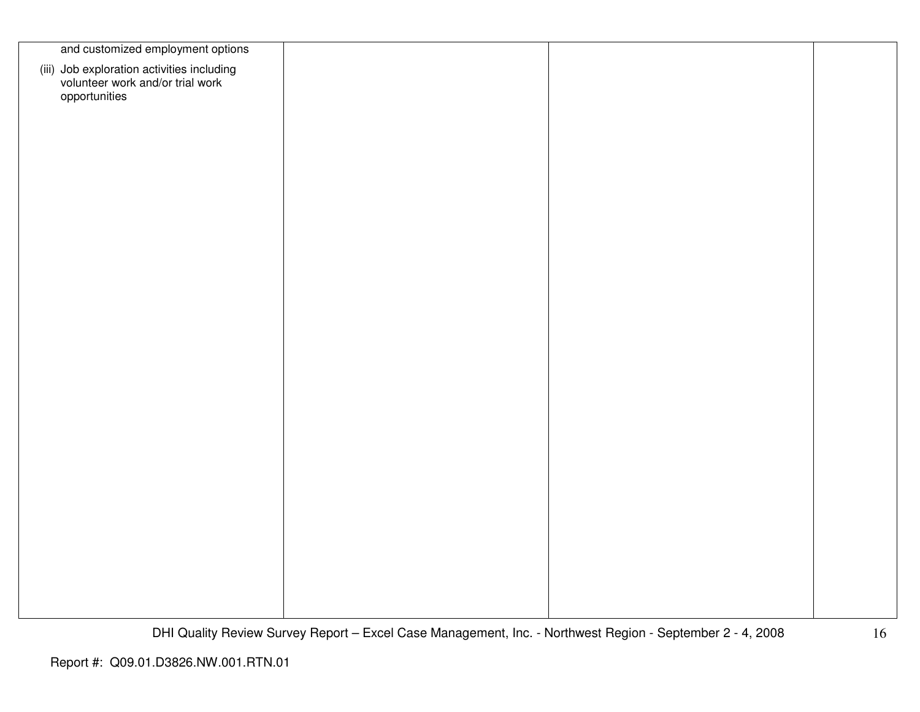| and customized employment options                                                               |  |  |
|-------------------------------------------------------------------------------------------------|--|--|
| (iii) Job exploration activities including<br>volunteer work and/or trial work<br>opportunities |  |  |
|                                                                                                 |  |  |
|                                                                                                 |  |  |
|                                                                                                 |  |  |
|                                                                                                 |  |  |
|                                                                                                 |  |  |
|                                                                                                 |  |  |
|                                                                                                 |  |  |
|                                                                                                 |  |  |
|                                                                                                 |  |  |
|                                                                                                 |  |  |
|                                                                                                 |  |  |
|                                                                                                 |  |  |
|                                                                                                 |  |  |
|                                                                                                 |  |  |
|                                                                                                 |  |  |
|                                                                                                 |  |  |
|                                                                                                 |  |  |
|                                                                                                 |  |  |
|                                                                                                 |  |  |
|                                                                                                 |  |  |
|                                                                                                 |  |  |
|                                                                                                 |  |  |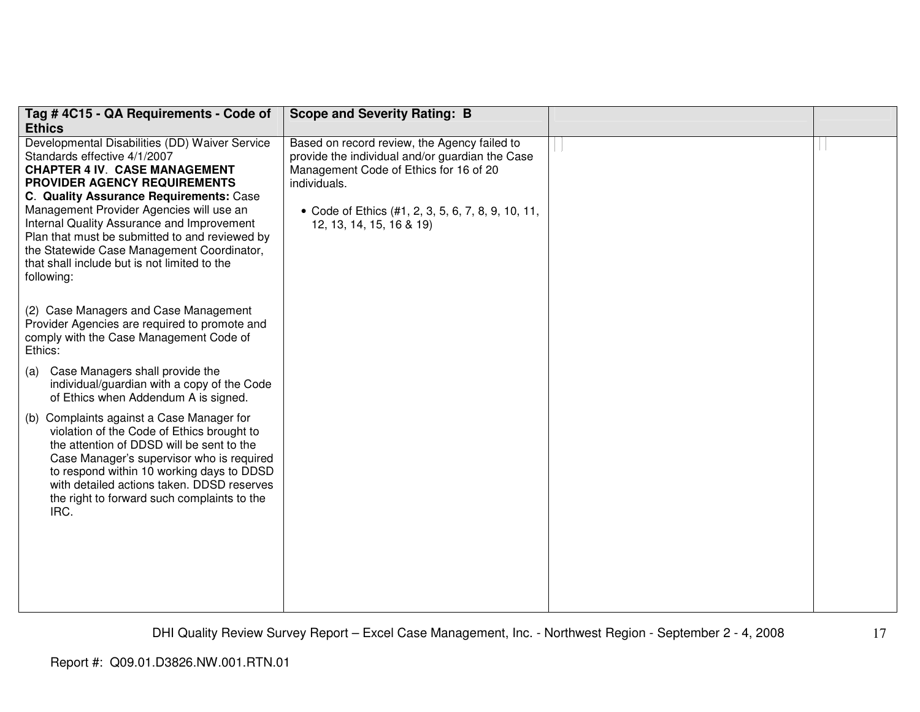| Tag #4C15 - QA Requirements - Code of                                                                                                                                                                                                                                                                                                                                                                                                                                   | <b>Scope and Severity Rating: B</b>                                                                                                                                                                                                         |  |
|-------------------------------------------------------------------------------------------------------------------------------------------------------------------------------------------------------------------------------------------------------------------------------------------------------------------------------------------------------------------------------------------------------------------------------------------------------------------------|---------------------------------------------------------------------------------------------------------------------------------------------------------------------------------------------------------------------------------------------|--|
| <b>Ethics</b>                                                                                                                                                                                                                                                                                                                                                                                                                                                           |                                                                                                                                                                                                                                             |  |
| Developmental Disabilities (DD) Waiver Service<br>Standards effective 4/1/2007<br><b>CHAPTER 4 IV. CASE MANAGEMENT</b><br><b>PROVIDER AGENCY REQUIREMENTS</b><br><b>C. Quality Assurance Requirements: Case</b><br>Management Provider Agencies will use an<br>Internal Quality Assurance and Improvement<br>Plan that must be submitted to and reviewed by<br>the Statewide Case Management Coordinator,<br>that shall include but is not limited to the<br>following: | Based on record review, the Agency failed to<br>provide the individual and/or guardian the Case<br>Management Code of Ethics for 16 of 20<br>individuals.<br>• Code of Ethics (#1, 2, 3, 5, 6, 7, 8, 9, 10, 11,<br>12, 13, 14, 15, 16 & 19) |  |
| (2) Case Managers and Case Management<br>Provider Agencies are required to promote and<br>comply with the Case Management Code of<br>Ethics:                                                                                                                                                                                                                                                                                                                            |                                                                                                                                                                                                                                             |  |
| Case Managers shall provide the<br>(a)<br>individual/guardian with a copy of the Code<br>of Ethics when Addendum A is signed.                                                                                                                                                                                                                                                                                                                                           |                                                                                                                                                                                                                                             |  |
| (b) Complaints against a Case Manager for<br>violation of the Code of Ethics brought to<br>the attention of DDSD will be sent to the<br>Case Manager's supervisor who is required<br>to respond within 10 working days to DDSD<br>with detailed actions taken. DDSD reserves<br>the right to forward such complaints to the<br>IRC.                                                                                                                                     |                                                                                                                                                                                                                                             |  |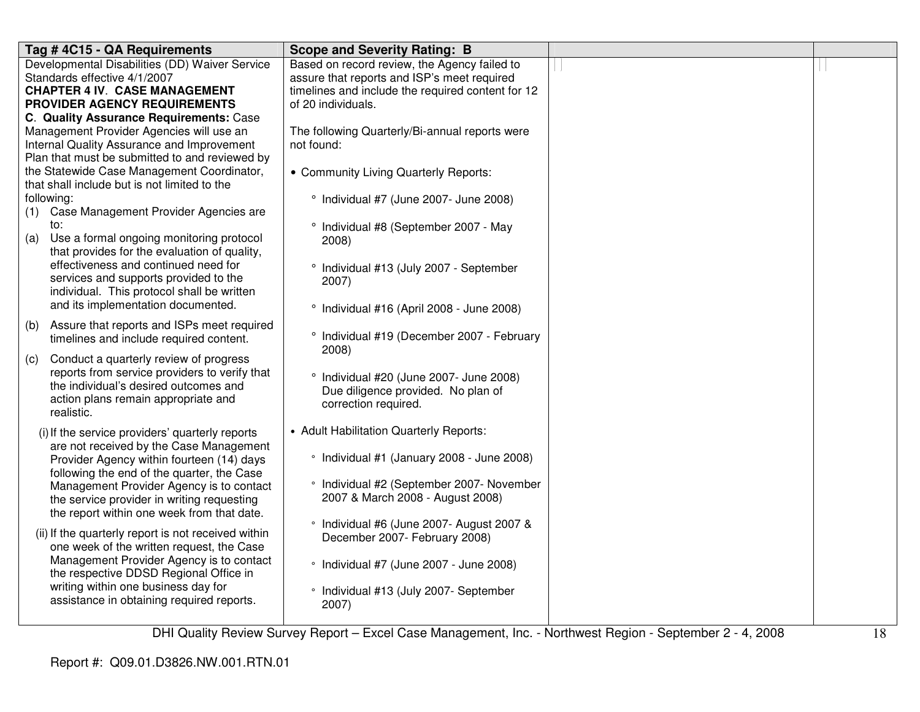| Tag #4C15 - QA Requirements                                                            | <b>Scope and Severity Rating: B</b>               |  |
|----------------------------------------------------------------------------------------|---------------------------------------------------|--|
| Developmental Disabilities (DD) Waiver Service                                         | Based on record review, the Agency failed to      |  |
| Standards effective 4/1/2007                                                           | assure that reports and ISP's meet required       |  |
| <b>CHAPTER 4 IV. CASE MANAGEMENT</b>                                                   | timelines and include the required content for 12 |  |
| PROVIDER AGENCY REQUIREMENTS                                                           | of 20 individuals.                                |  |
| C. Quality Assurance Requirements: Case                                                |                                                   |  |
| Management Provider Agencies will use an                                               | The following Quarterly/Bi-annual reports were    |  |
| Internal Quality Assurance and Improvement                                             | not found:                                        |  |
| Plan that must be submitted to and reviewed by                                         |                                                   |  |
| the Statewide Case Management Coordinator,                                             | • Community Living Quarterly Reports:             |  |
| that shall include but is not limited to the                                           |                                                   |  |
| following:                                                                             | ° Individual #7 (June 2007- June 2008)            |  |
| (1) Case Management Provider Agencies are                                              |                                                   |  |
| to:                                                                                    | ° Individual #8 (September 2007 - May             |  |
| Use a formal ongoing monitoring protocol<br>(a)                                        | 2008)                                             |  |
| that provides for the evaluation of quality,                                           |                                                   |  |
| effectiveness and continued need for                                                   | ° Individual #13 (July 2007 - September           |  |
| services and supports provided to the                                                  | 2007)                                             |  |
| individual. This protocol shall be written                                             |                                                   |  |
| and its implementation documented.                                                     | ° Individual #16 (April 2008 - June 2008)         |  |
| Assure that reports and ISPs meet required<br>(b)                                      |                                                   |  |
| timelines and include required content.                                                | ° Individual #19 (December 2007 - February        |  |
| Conduct a quarterly review of progress                                                 | 2008)                                             |  |
| (c)<br>reports from service providers to verify that                                   |                                                   |  |
| the individual's desired outcomes and                                                  | ° Individual #20 (June 2007- June 2008)           |  |
| action plans remain appropriate and                                                    | Due diligence provided. No plan of                |  |
| realistic.                                                                             | correction required.                              |  |
|                                                                                        |                                                   |  |
| (i) If the service providers' quarterly reports                                        | • Adult Habilitation Quarterly Reports:           |  |
| are not received by the Case Management                                                | • Individual #1 (January 2008 - June 2008)        |  |
| Provider Agency within fourteen (14) days                                              |                                                   |  |
| following the end of the quarter, the Case                                             | • Individual #2 (September 2007- November         |  |
| Management Provider Agency is to contact<br>the service provider in writing requesting | 2007 & March 2008 - August 2008)                  |  |
| the report within one week from that date.                                             |                                                   |  |
|                                                                                        | • Individual #6 (June 2007- August 2007 &         |  |
| (ii) If the quarterly report is not received within                                    | December 2007- February 2008)                     |  |
| one week of the written request, the Case                                              |                                                   |  |
| Management Provider Agency is to contact                                               | • Individual #7 (June 2007 - June 2008)           |  |
| the respective DDSD Regional Office in                                                 |                                                   |  |
| writing within one business day for                                                    | • Individual #13 (July 2007- September            |  |
| assistance in obtaining required reports.                                              | 2007)                                             |  |
|                                                                                        |                                                   |  |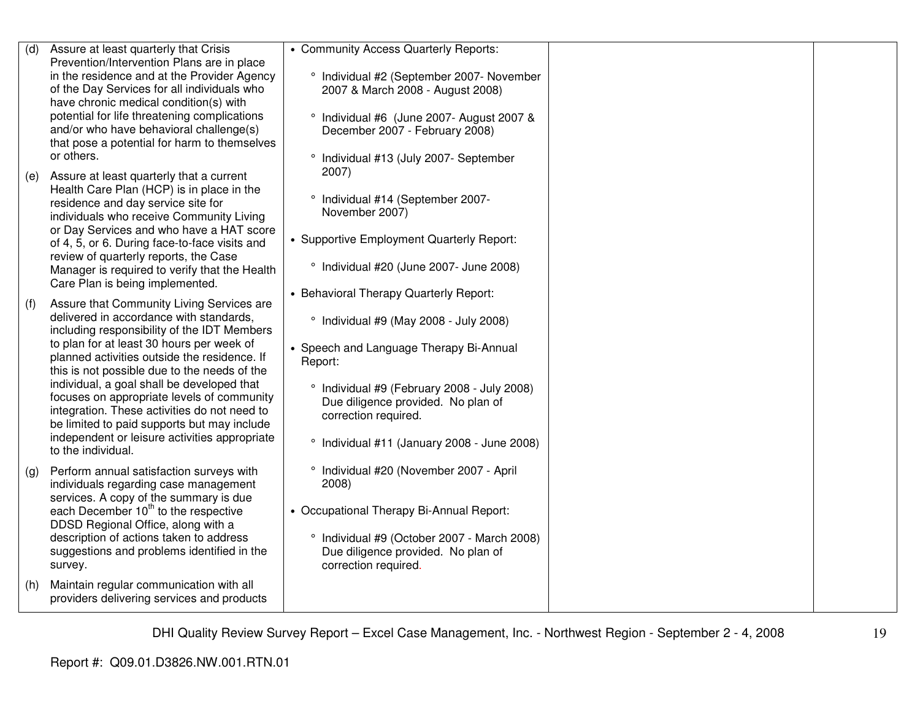| (d) | Assure at least quarterly that Crisis            | • Community Access Quarterly Reports:       |  |
|-----|--------------------------------------------------|---------------------------------------------|--|
|     | Prevention/Intervention Plans are in place       |                                             |  |
|     | in the residence and at the Provider Agency      | ° Individual #2 (September 2007- November   |  |
|     | of the Day Services for all individuals who      | 2007 & March 2008 - August 2008)            |  |
|     | have chronic medical condition(s) with           |                                             |  |
|     | potential for life threatening complications     | ° Individual #6 (June 2007- August 2007 &   |  |
|     | and/or who have behavioral challenge(s)          | December 2007 - February 2008)              |  |
|     | that pose a potential for harm to themselves     |                                             |  |
|     | or others.                                       | ° Individual #13 (July 2007- September      |  |
|     |                                                  | $2007$ )                                    |  |
| (e) | Assure at least quarterly that a current         |                                             |  |
|     | Health Care Plan (HCP) is in place in the        | ° Individual #14 (September 2007-           |  |
|     | residence and day service site for               | November 2007)                              |  |
|     | individuals who receive Community Living         |                                             |  |
|     | or Day Services and who have a HAT score         |                                             |  |
|     | of 4, 5, or 6. During face-to-face visits and    | • Supportive Employment Quarterly Report:   |  |
|     | review of quarterly reports, the Case            |                                             |  |
|     | Manager is required to verify that the Health    | ° Individual #20 (June 2007- June 2008)     |  |
|     | Care Plan is being implemented.                  |                                             |  |
|     |                                                  | • Behavioral Therapy Quarterly Report:      |  |
| (f) | Assure that Community Living Services are        |                                             |  |
|     | delivered in accordance with standards.          | ° Individual #9 (May 2008 - July 2008)      |  |
|     | including responsibility of the IDT Members      |                                             |  |
|     | to plan for at least 30 hours per week of        | • Speech and Language Therapy Bi-Annual     |  |
|     | planned activities outside the residence. If     | Report:                                     |  |
|     | this is not possible due to the needs of the     |                                             |  |
|     | individual, a goal shall be developed that       | ° Individual #9 (February 2008 - July 2008) |  |
|     | focuses on appropriate levels of community       | Due diligence provided. No plan of          |  |
|     | integration. These activities do not need to     | correction required.                        |  |
|     | be limited to paid supports but may include      |                                             |  |
|     | independent or leisure activities appropriate    | ° Individual #11 (January 2008 - June 2008) |  |
|     | to the individual.                               |                                             |  |
|     | Perform annual satisfaction surveys with         | ° Individual #20 (November 2007 - April     |  |
| (g) |                                                  | 2008)                                       |  |
|     | individuals regarding case management            |                                             |  |
|     | services. A copy of the summary is due           |                                             |  |
|     | each December 10 <sup>th</sup> to the respective | • Occupational Therapy Bi-Annual Report:    |  |
|     | DDSD Regional Office, along with a               |                                             |  |
|     | description of actions taken to address          | ° Individual #9 (October 2007 - March 2008) |  |
|     | suggestions and problems identified in the       | Due diligence provided. No plan of          |  |
|     | survey.                                          | correction required.                        |  |
| (h) | Maintain regular communication with all          |                                             |  |
|     | providers delivering services and products       |                                             |  |
|     |                                                  |                                             |  |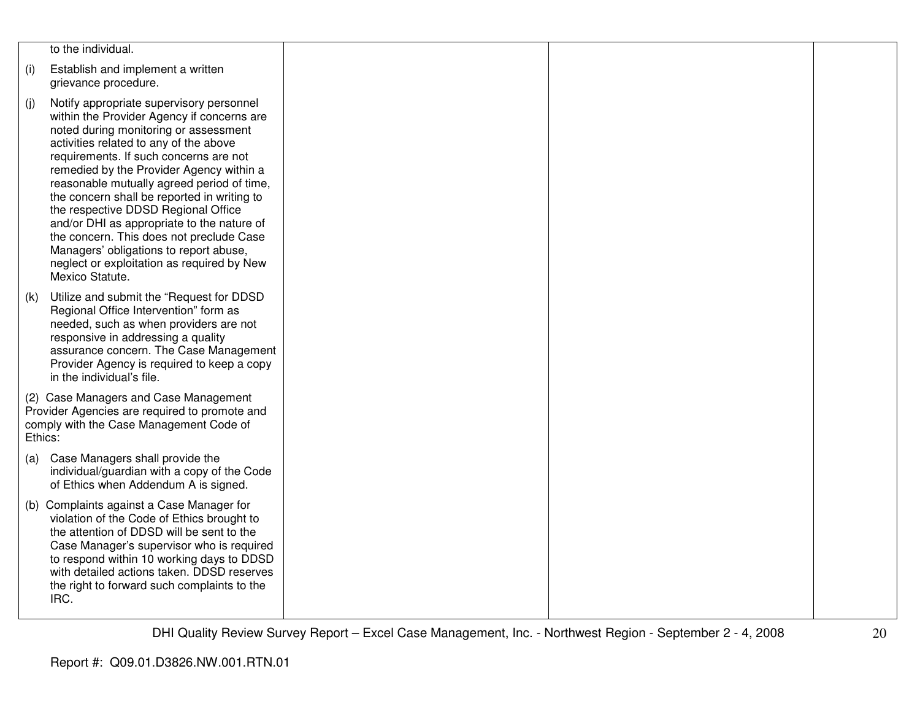|         | to the individual.                                                                                                                                                                                                                                                                                                                                                                                                                                                                                                                                                                                       |  |  |
|---------|----------------------------------------------------------------------------------------------------------------------------------------------------------------------------------------------------------------------------------------------------------------------------------------------------------------------------------------------------------------------------------------------------------------------------------------------------------------------------------------------------------------------------------------------------------------------------------------------------------|--|--|
| (i)     | Establish and implement a written<br>grievance procedure.                                                                                                                                                                                                                                                                                                                                                                                                                                                                                                                                                |  |  |
| (j)     | Notify appropriate supervisory personnel<br>within the Provider Agency if concerns are<br>noted during monitoring or assessment<br>activities related to any of the above<br>requirements. If such concerns are not<br>remedied by the Provider Agency within a<br>reasonable mutually agreed period of time,<br>the concern shall be reported in writing to<br>the respective DDSD Regional Office<br>and/or DHI as appropriate to the nature of<br>the concern. This does not preclude Case<br>Managers' obligations to report abuse,<br>neglect or exploitation as required by New<br>Mexico Statute. |  |  |
| (k)     | Utilize and submit the "Request for DDSD<br>Regional Office Intervention" form as<br>needed, such as when providers are not<br>responsive in addressing a quality<br>assurance concern. The Case Management<br>Provider Agency is required to keep a copy<br>in the individual's file.                                                                                                                                                                                                                                                                                                                   |  |  |
| Ethics: | (2) Case Managers and Case Management<br>Provider Agencies are required to promote and<br>comply with the Case Management Code of                                                                                                                                                                                                                                                                                                                                                                                                                                                                        |  |  |
| (a)     | Case Managers shall provide the<br>individual/guardian with a copy of the Code<br>of Ethics when Addendum A is signed.                                                                                                                                                                                                                                                                                                                                                                                                                                                                                   |  |  |
|         | (b) Complaints against a Case Manager for<br>violation of the Code of Ethics brought to<br>the attention of DDSD will be sent to the<br>Case Manager's supervisor who is required<br>to respond within 10 working days to DDSD<br>with detailed actions taken. DDSD reserves<br>the right to forward such complaints to the<br>IRC.                                                                                                                                                                                                                                                                      |  |  |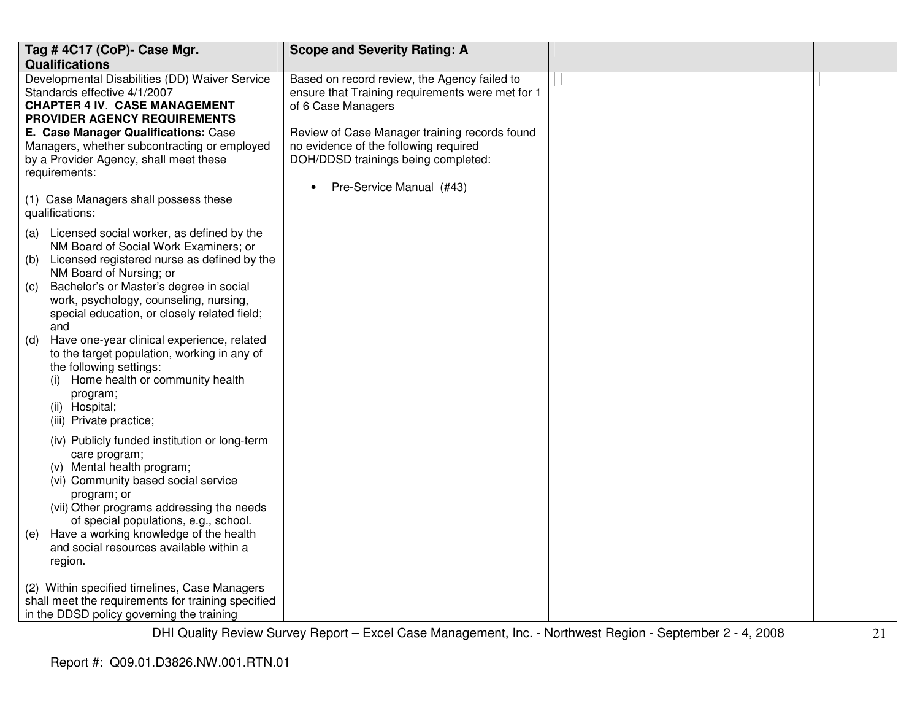|                                                                                                         | Tag #4C17 (CoP)- Case Mgr.                                                                                                                                                                                              | <b>Scope and Severity Rating: A</b>                                                                                    |  |
|---------------------------------------------------------------------------------------------------------|-------------------------------------------------------------------------------------------------------------------------------------------------------------------------------------------------------------------------|------------------------------------------------------------------------------------------------------------------------|--|
|                                                                                                         | <b>Qualifications</b><br>Developmental Disabilities (DD) Waiver Service<br>Standards effective 4/1/2007<br><b>CHAPTER 4 IV. CASE MANAGEMENT</b>                                                                         | Based on record review, the Agency failed to<br>ensure that Training requirements were met for 1<br>of 6 Case Managers |  |
| <b>PROVIDER AGENCY REQUIREMENTS</b><br>E. Case Manager Qualifications: Case                             |                                                                                                                                                                                                                         | Review of Case Manager training records found                                                                          |  |
| Managers, whether subcontracting or employed<br>by a Provider Agency, shall meet these<br>requirements: |                                                                                                                                                                                                                         | no evidence of the following required<br>DOH/DDSD trainings being completed:                                           |  |
|                                                                                                         | (1) Case Managers shall possess these<br>qualifications:                                                                                                                                                                | Pre-Service Manual (#43)<br>$\bullet$                                                                                  |  |
| (a)                                                                                                     | Licensed social worker, as defined by the<br>NM Board of Social Work Examiners; or                                                                                                                                      |                                                                                                                        |  |
| (b)                                                                                                     | Licensed registered nurse as defined by the<br>NM Board of Nursing; or                                                                                                                                                  |                                                                                                                        |  |
| (C)                                                                                                     | Bachelor's or Master's degree in social<br>work, psychology, counseling, nursing,<br>special education, or closely related field;<br>and                                                                                |                                                                                                                        |  |
| (d)                                                                                                     | Have one-year clinical experience, related<br>to the target population, working in any of<br>the following settings:<br>Home health or community health<br>(i)<br>program;<br>(ii) Hospital;<br>(iii) Private practice; |                                                                                                                        |  |
|                                                                                                         | (iv) Publicly funded institution or long-term<br>care program;<br>(v) Mental health program;<br>(vi) Community based social service<br>program; or<br>(vii) Other programs addressing the needs                         |                                                                                                                        |  |
| (e)                                                                                                     | of special populations, e.g., school.<br>Have a working knowledge of the health<br>and social resources available within a<br>region.                                                                                   |                                                                                                                        |  |
|                                                                                                         | (2) Within specified timelines, Case Managers<br>shall meet the requirements for training specified<br>in the DDSD policy governing the training                                                                        |                                                                                                                        |  |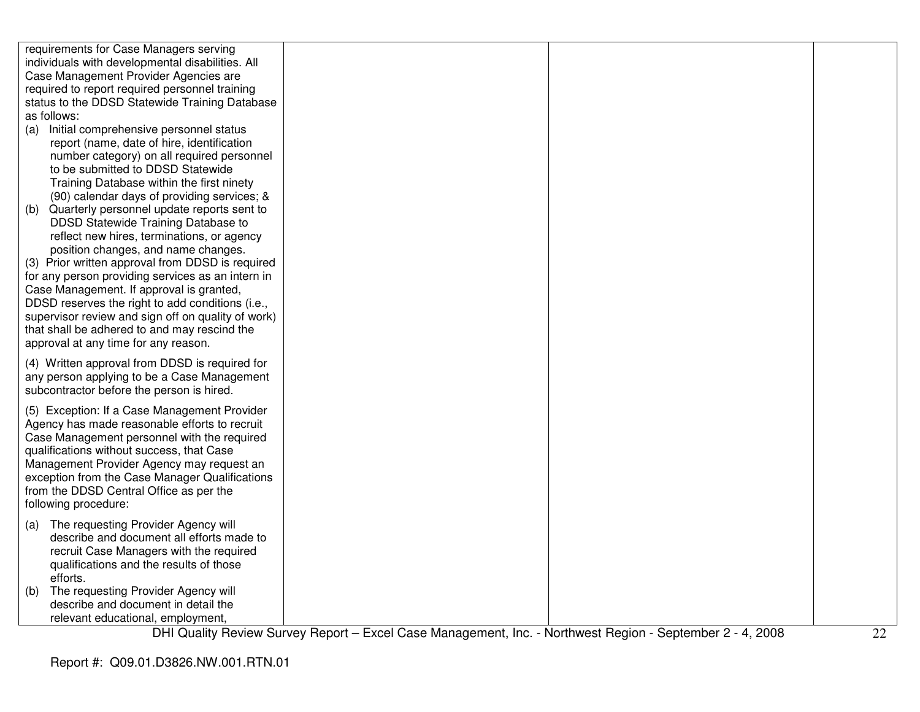| requirements for Case Managers serving             |  |  |
|----------------------------------------------------|--|--|
| individuals with developmental disabilities. All   |  |  |
| Case Management Provider Agencies are              |  |  |
| required to report required personnel training     |  |  |
| status to the DDSD Statewide Training Database     |  |  |
| as follows:                                        |  |  |
| (a) Initial comprehensive personnel status         |  |  |
| report (name, date of hire, identification         |  |  |
| number category) on all required personnel         |  |  |
| to be submitted to DDSD Statewide                  |  |  |
| Training Database within the first ninety          |  |  |
| (90) calendar days of providing services; &        |  |  |
| Quarterly personnel update reports sent to<br>(b)  |  |  |
| DDSD Statewide Training Database to                |  |  |
| reflect new hires, terminations, or agency         |  |  |
| position changes, and name changes.                |  |  |
| (3) Prior written approval from DDSD is required   |  |  |
|                                                    |  |  |
| for any person providing services as an intern in  |  |  |
| Case Management. If approval is granted,           |  |  |
| DDSD reserves the right to add conditions (i.e.,   |  |  |
| supervisor review and sign off on quality of work) |  |  |
| that shall be adhered to and may rescind the       |  |  |
| approval at any time for any reason.               |  |  |
| (4) Written approval from DDSD is required for     |  |  |
| any person applying to be a Case Management        |  |  |
| subcontractor before the person is hired.          |  |  |
|                                                    |  |  |
| (5) Exception: If a Case Management Provider       |  |  |
| Agency has made reasonable efforts to recruit      |  |  |
| Case Management personnel with the required        |  |  |
| qualifications without success, that Case          |  |  |
| Management Provider Agency may request an          |  |  |
| exception from the Case Manager Qualifications     |  |  |
| from the DDSD Central Office as per the            |  |  |
| following procedure:                               |  |  |
| (a) The requesting Provider Agency will            |  |  |
| describe and document all efforts made to          |  |  |
|                                                    |  |  |
| recruit Case Managers with the required            |  |  |
| qualifications and the results of those            |  |  |
| efforts.                                           |  |  |
| The requesting Provider Agency will<br>(b)         |  |  |
| describe and document in detail the                |  |  |
| relevant educational, employment,                  |  |  |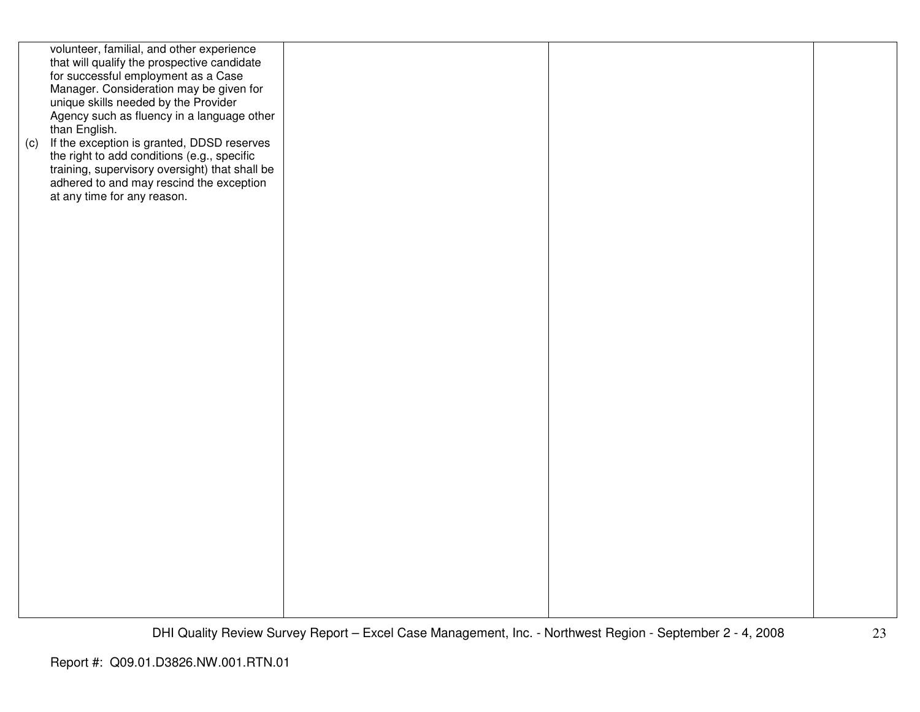| (c) | volunteer, familial, and other experience<br>that will qualify the prospective candidate<br>for successful employment as a Case<br>Manager. Consideration may be given for<br>unique skills needed by the Provider<br>Agency such as fluency in a language other<br>than English.<br>If the exception is granted, DDSD reserves<br>the right to add conditions (e.g., specific<br>training, supervisory oversight) that shall be<br>adhered to and may rescind the exception<br>at any time for any reason. |  |  |
|-----|-------------------------------------------------------------------------------------------------------------------------------------------------------------------------------------------------------------------------------------------------------------------------------------------------------------------------------------------------------------------------------------------------------------------------------------------------------------------------------------------------------------|--|--|
|     |                                                                                                                                                                                                                                                                                                                                                                                                                                                                                                             |  |  |
|     |                                                                                                                                                                                                                                                                                                                                                                                                                                                                                                             |  |  |